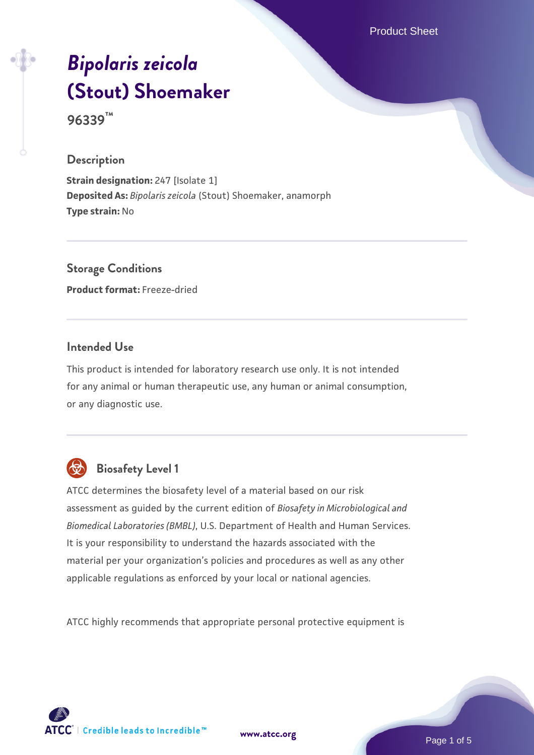Product Sheet

# *[Bipolaris zeicola](https://www.atcc.org/products/96339)* **[\(Stout\) Shoemaker](https://www.atcc.org/products/96339)**

**96339™**

#### **Description**

**Strain designation:** 247 [Isolate 1] **Deposited As:** *Bipolaris zeicola* (Stout) Shoemaker, anamorph **Type strain:** No

**Storage Conditions Product format:** Freeze-dried

# **Intended Use**

This product is intended for laboratory research use only. It is not intended for any animal or human therapeutic use, any human or animal consumption, or any diagnostic use.



# **Biosafety Level 1**

ATCC determines the biosafety level of a material based on our risk assessment as guided by the current edition of *Biosafety in Microbiological and Biomedical Laboratories (BMBL)*, U.S. Department of Health and Human Services. It is your responsibility to understand the hazards associated with the material per your organization's policies and procedures as well as any other applicable regulations as enforced by your local or national agencies.

ATCC highly recommends that appropriate personal protective equipment is

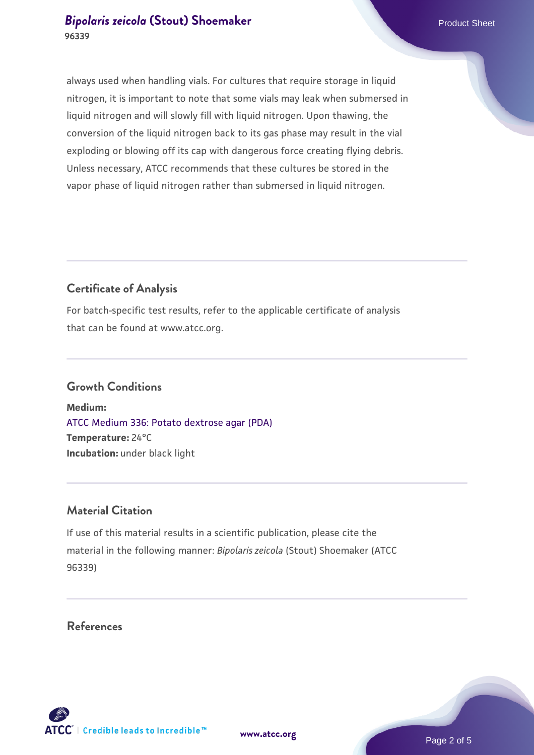always used when handling vials. For cultures that require storage in liquid nitrogen, it is important to note that some vials may leak when submersed in liquid nitrogen and will slowly fill with liquid nitrogen. Upon thawing, the conversion of the liquid nitrogen back to its gas phase may result in the vial exploding or blowing off its cap with dangerous force creating flying debris. Unless necessary, ATCC recommends that these cultures be stored in the vapor phase of liquid nitrogen rather than submersed in liquid nitrogen.

# **Certificate of Analysis**

For batch-specific test results, refer to the applicable certificate of analysis that can be found at www.atcc.org.

#### **Growth Conditions**

**Medium:**  [ATCC Medium 336: Potato dextrose agar \(PDA\)](https://www.atcc.org/-/media/product-assets/documents/microbial-media-formulations/3/3/6/atcc-medium-336.pdf?rev=d9160ad44d934cd8b65175461abbf3b9) **Temperature:** 24°C **Incubation:** under black light

## **Material Citation**

If use of this material results in a scientific publication, please cite the material in the following manner: *Bipolaris zeicola* (Stout) Shoemaker (ATCC 96339)

# **References**

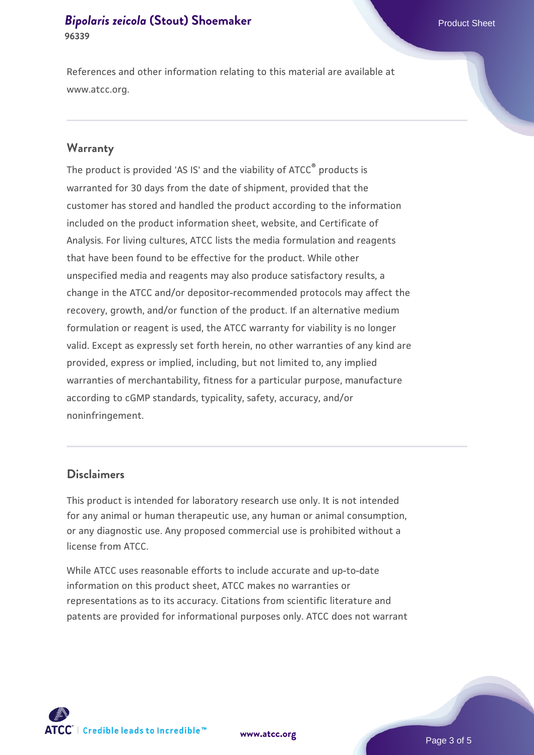References and other information relating to this material are available at www.atcc.org.

#### **Warranty**

The product is provided 'AS IS' and the viability of ATCC® products is warranted for 30 days from the date of shipment, provided that the customer has stored and handled the product according to the information included on the product information sheet, website, and Certificate of Analysis. For living cultures, ATCC lists the media formulation and reagents that have been found to be effective for the product. While other unspecified media and reagents may also produce satisfactory results, a change in the ATCC and/or depositor-recommended protocols may affect the recovery, growth, and/or function of the product. If an alternative medium formulation or reagent is used, the ATCC warranty for viability is no longer valid. Except as expressly set forth herein, no other warranties of any kind are provided, express or implied, including, but not limited to, any implied warranties of merchantability, fitness for a particular purpose, manufacture according to cGMP standards, typicality, safety, accuracy, and/or noninfringement.

## **Disclaimers**

This product is intended for laboratory research use only. It is not intended for any animal or human therapeutic use, any human or animal consumption, or any diagnostic use. Any proposed commercial use is prohibited without a license from ATCC.

While ATCC uses reasonable efforts to include accurate and up-to-date information on this product sheet, ATCC makes no warranties or representations as to its accuracy. Citations from scientific literature and patents are provided for informational purposes only. ATCC does not warrant





Page 3 of 5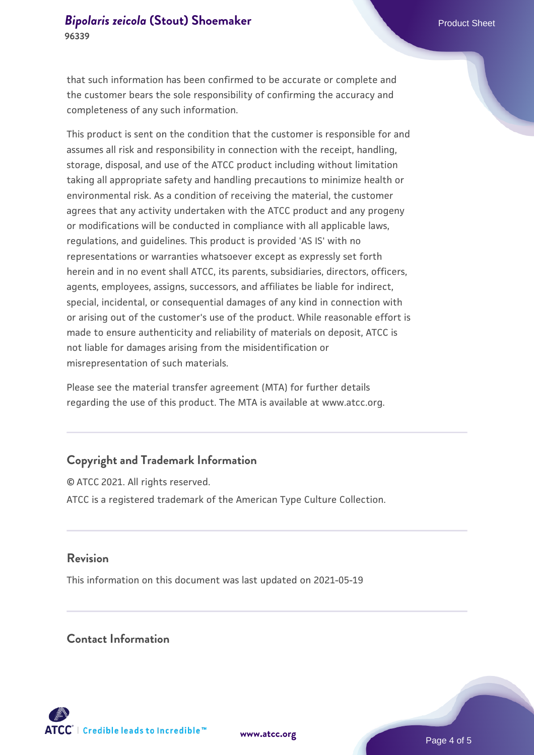that such information has been confirmed to be accurate or complete and the customer bears the sole responsibility of confirming the accuracy and completeness of any such information.

This product is sent on the condition that the customer is responsible for and assumes all risk and responsibility in connection with the receipt, handling, storage, disposal, and use of the ATCC product including without limitation taking all appropriate safety and handling precautions to minimize health or environmental risk. As a condition of receiving the material, the customer agrees that any activity undertaken with the ATCC product and any progeny or modifications will be conducted in compliance with all applicable laws, regulations, and guidelines. This product is provided 'AS IS' with no representations or warranties whatsoever except as expressly set forth herein and in no event shall ATCC, its parents, subsidiaries, directors, officers, agents, employees, assigns, successors, and affiliates be liable for indirect, special, incidental, or consequential damages of any kind in connection with or arising out of the customer's use of the product. While reasonable effort is made to ensure authenticity and reliability of materials on deposit, ATCC is not liable for damages arising from the misidentification or misrepresentation of such materials.

Please see the material transfer agreement (MTA) for further details regarding the use of this product. The MTA is available at www.atcc.org.

# **Copyright and Trademark Information**

© ATCC 2021. All rights reserved. ATCC is a registered trademark of the American Type Culture Collection.

#### **Revision**

This information on this document was last updated on 2021-05-19

# **Contact Information**